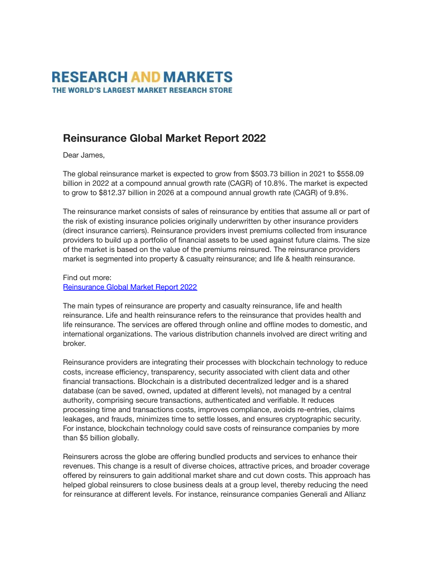## **RESEARCH AND MARKETS** THE WORLD'S LARGEST MARKET RESEARCH STORE

## **Reinsurance Global Market Report 2022**

Dear James,

The global reinsurance market is expected to grow from \$503.73 billion in 2021 to \$558.09 billion in 2022 at a compound annual growth rate (CAGR) of 10.8%. The market is expected to grow to \$812.37 billion in 2026 at a compound annual growth rate (CAGR) of 9.8%.

The reinsurance market consists of sales of reinsurance by entities that assume all or part of the risk of existing insurance policies originally underwritten by other insurance providers (direct insurance carriers). Reinsurance providers invest premiums collected from insurance providers to build up a portfolio of financial assets to be used against future claims. The size of the market is based on the value of the premiums reinsured. The reinsurance providers market is segmented into property & casualty reinsurance; and life & health reinsurance.

Find out more: [Reinsurance Global Market Report 2022](https://www.researchandmarkets.com/reports/5591919/reinsurance-global-market-report-2022?utm_source=MC&utm_medium=Email&utm_code=mzrc1jc8r&utm_ss=85&utm_campaign=1711435+-+Reinsurance+Global+Market+Report+2022&utm_exec=doma300mtd)

The main types of reinsurance are property and casualty reinsurance, life and health reinsurance. Life and health reinsurance refers to the reinsurance that provides health and life reinsurance. The services are offered through online and offline modes to domestic, and international organizations. The various distribution channels involved are direct writing and broker.

Reinsurance providers are integrating their processes with blockchain technology to reduce costs, increase efficiency, transparency, security associated with client data and other financial transactions. Blockchain is a distributed decentralized ledger and is a shared database (can be saved, owned, updated at different levels), not managed by a central authority, comprising secure transactions, authenticated and verifiable. It reduces processing time and transactions costs, improves compliance, avoids re-entries, claims leakages, and frauds, minimizes time to settle losses, and ensures cryptographic security. For instance, blockchain technology could save costs of reinsurance companies by more than \$5 billion globally.

Reinsurers across the globe are offering bundled products and services to enhance their revenues. This change is a result of diverse choices, attractive prices, and broader coverage offered by reinsurers to gain additional market share and cut down costs. This approach has helped global reinsurers to close business deals at a group level, thereby reducing the need for reinsurance at different levels. For instance, reinsurance companies Generali and Allianz